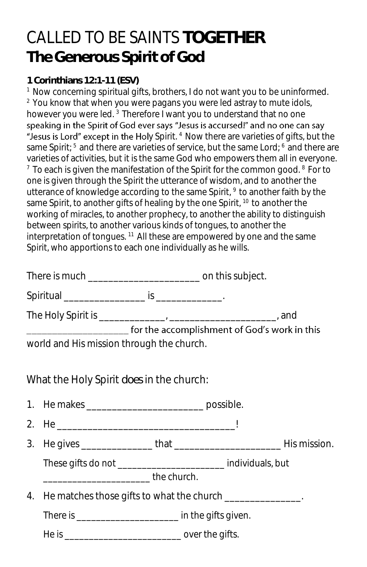## CALLED TO BE SAINTS **TOGETHER The Generous Spirit of God**

**1 Corinthians 12:1-11 (ESV)** 

<sup>1</sup> Now concerning spiritual gifts, brothers, I do not want you to be uninformed. <sup>2</sup> You know that when you were pagans you were led astray to mute idols, however you were led.<sup>3</sup> Therefore I want you to understand that no one speaking in the Spirit of God ever says "Jesus is accursed!" and no one can say "Jesus is Lord" except in the Holy Spirit. <sup>4</sup> Now there are varieties of gifts, but the same Spirit; <sup>5</sup> and there are varieties of service, but the same Lord; <sup>6</sup> and there are varieties of activities, but it is the same God who empowers them all in everyone.  $7$  To each is given the manifestation of the Spirit for the common good.  $8$  For to one is given through the Spirit the utterance of wisdom, and to another the utterance of knowledge according to the same Spirit, <sup>9</sup> to another faith by the same Spirit, to another gifts of healing by the one Spirit, <sup>10</sup> to another the working of miracles, to another prophecy, to another the ability to distinguish between spirits, to another various kinds of tongues, to another the interpretation of tongues.  $11$  All these are empowered by one and the same Spirit, who apportions to each one individually as he wills.

|    | ___________________________ for the accomplishment of God's work in this                                    |  |  |  |  |
|----|-------------------------------------------------------------------------------------------------------------|--|--|--|--|
|    | world and His mission through the church.                                                                   |  |  |  |  |
|    | What the Holy Spirit does in the church:                                                                    |  |  |  |  |
|    | 1. He makes _________________________________ possible.                                                     |  |  |  |  |
|    |                                                                                                             |  |  |  |  |
|    |                                                                                                             |  |  |  |  |
|    | These gifts do not ______________________ individuals, but<br>__________________________________the church. |  |  |  |  |
| 4. | He matches those gifts to what the church ______________.                                                   |  |  |  |  |
|    | There is ___________________________ in the gifts given.                                                    |  |  |  |  |
|    |                                                                                                             |  |  |  |  |